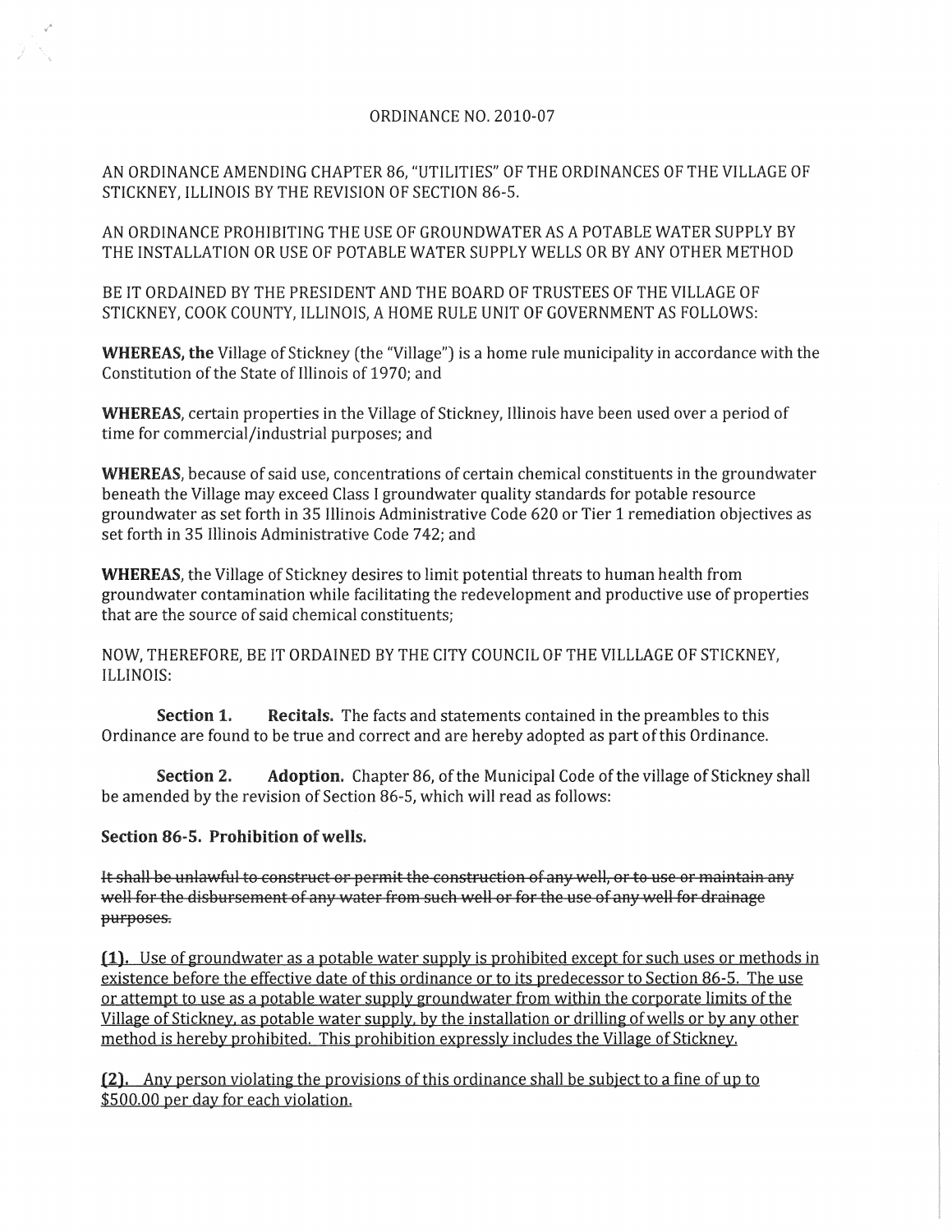## ORDINANCE NO. 2010-07

AN ORDINANCE AMENDING CHAPTER 86, "UTILITIES" OF THE ORDINANCES OF THE VILLAGE OF STICKNEY, ILLINOIS BY THE REVISION OF SECTION 86-5.

AN ORDINANCE PROHIBITING THE USE OF GROUNDWATER AS A POTABLE WATER SUPPLY BY THE INSTALLATION OR USE OF POTABLE WATER SUPPLY WELLS OR BY ANY OTHER METHOD

BE IT ORDAINED BY THE PRESIDENT AND THE BOARD OF TRUSTEES OF THE VILLAGE OF STICKNEY, COOK COUNTY, ILLINOIS, A HOME RULE UNIT OF GOVERNMENT AS FOLLOWS:

WHEREAS, the Village of Stickney (the "Village") is a home rule municipality in accordance with the Constitution of the State of Illinois of 1970; and

WHEREAS, certain properties in the Village of Stickney, Illinois have been used over a period of time for commercial/industrial purposes; and

WHEREAS, because of said use, concentrations of certain chemical constituents in the groundwater beneath the Village may exceed Class I groundwater quality standards for potable resource groundwater as set forth in 35 Illinois Administrative Code 620 or Tier 1 remediation objectives as set forth in 35 Illinois Administrative Code 742; and

WHEREAS, the Village of Stickney desires to limit potential threats to human health from groundwater contamination while facilitating the redevelopment and productive use of properties that are the source of said chemical constituents;

NOW, THEREFORE, BE IT ORDAINED BY THE CITY COUNCIL OF THE VILLLAGE OF STICKNEY, ILLINOIS:

Section 1. Recitals. The facts and statements contained in the preambles to this Ordinance are found to be true and correct and are hereby adopted as part of this Ordinance.

Section 2. Adoption. Chapter 86, of the Municipal Code of the village of Stickney shall be amended by the revision of Section 86-5, which will read as follows:

## Section 86-5. Prohibition of wells.

It shall be unlawful to construct or permit the construction of any well, or to use or maintain any well for the disbursement of any water from such well or for the use of any well for drainage purposes.

 $(1)$ . Use of groundwater as a potable water supply is prohibited except for such uses or methods in existence before the effective date of this ordinance or to its predecessor to Section 86-5. The use or attempt to use as a potable water supply groundwater from within the corporate limits of the Village of Stickney, as potable water supply, by the installation or drilling of wells or by any other method is hereby prohibited. This prohibition expressly includes the Village of Stickney.

(2). Any person violating the provisions of this ordinance shall be subject to a fine of up to \$500.00 per day for each violation.